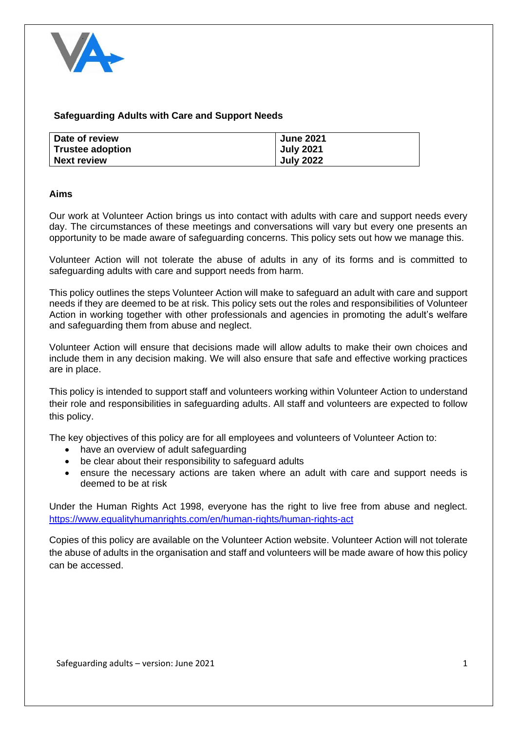

## **Safeguarding Adults with Care and Support Needs**

| Date of review          | <b>June 2021</b> |
|-------------------------|------------------|
| <b>Trustee adoption</b> | <b>July 2021</b> |
| <b>Next review</b>      | <b>July 2022</b> |

## **Aims**

Our work at Volunteer Action brings us into contact with adults with care and support needs every day. The circumstances of these meetings and conversations will vary but every one presents an opportunity to be made aware of safeguarding concerns. This policy sets out how we manage this.

Volunteer Action will not tolerate the abuse of adults in any of its forms and is committed to safeguarding adults with care and support needs from harm.

This policy outlines the steps Volunteer Action will make to safeguard an adult with care and support needs if they are deemed to be at risk. This policy sets out the roles and responsibilities of Volunteer Action in working together with other professionals and agencies in promoting the adult's welfare and safeguarding them from abuse and neglect.

Volunteer Action will ensure that decisions made will allow adults to make their own choices and include them in any decision making. We will also ensure that safe and effective working practices are in place.

This policy is intended to support staff and volunteers working within Volunteer Action to understand their role and responsibilities in safeguarding adults. All staff and volunteers are expected to follow this policy.

The key objectives of this policy are for all employees and volunteers of Volunteer Action to:

- have an overview of adult safeguarding
- be clear about their responsibility to safeguard adults
- ensure the necessary actions are taken where an adult with care and support needs is deemed to be at risk

Under the Human Rights Act 1998, everyone has the right to live free from abuse and neglect. <https://www.equalityhumanrights.com/en/human-rights/human-rights-act>

Copies of this policy are available on the Volunteer Action website. Volunteer Action will not tolerate the abuse of adults in the organisation and staff and volunteers will be made aware of how this policy can be accessed.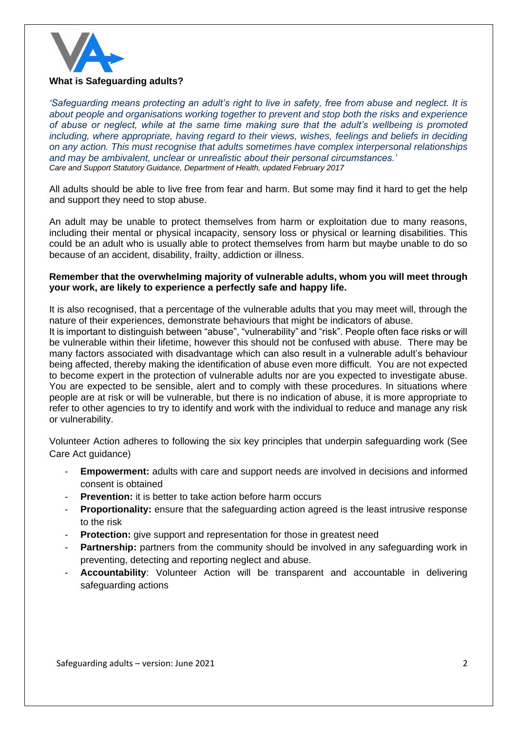

#### **What is Safeguarding adults?**

*'Safeguarding means protecting an adult's right to live in safety, free from abuse and neglect. It is about people and organisations working together to prevent and stop both the risks and experience of abuse or neglect, while at the same time making sure that the adult's wellbeing is promoted including, where appropriate, having regard to their views, wishes, feelings and beliefs in deciding on any action. This must recognise that adults sometimes have complex interpersonal relationships and may be ambivalent, unclear or unrealistic about their personal circumstances.' Care and Support Statutory Guidance, Department of Health, updated February 2017*

All adults should be able to live free from fear and harm. But some may find it hard to get the help and support they need to stop abuse.

An adult may be unable to protect themselves from harm or exploitation due to many reasons, including their mental or physical incapacity, sensory loss or physical or learning disabilities. This could be an adult who is usually able to protect themselves from harm but maybe unable to do so because of an accident, disability, frailty, addiction or illness.

#### **Remember that the overwhelming majority of vulnerable adults, whom you will meet through your work, are likely to experience a perfectly safe and happy life.**

It is also recognised, that a percentage of the vulnerable adults that you may meet will, through the nature of their experiences, demonstrate behaviours that might be indicators of abuse.

It is important to distinguish between "abuse", "vulnerability" and "risk". People often face risks or will be vulnerable within their lifetime, however this should not be confused with abuse. There may be many factors associated with disadvantage which can also result in a vulnerable adult's behaviour being affected, thereby making the identification of abuse even more difficult. You are not expected to become expert in the protection of vulnerable adults nor are you expected to investigate abuse. You are expected to be sensible, alert and to comply with these procedures. In situations where people are at risk or will be vulnerable, but there is no indication of abuse, it is more appropriate to refer to other agencies to try to identify and work with the individual to reduce and manage any risk or vulnerability.

Volunteer Action adheres to following the six key principles that underpin safeguarding work (See Care Act guidance)

- **Empowerment:** adults with care and support needs are involved in decisions and informed consent is obtained
- **Prevention:** it is better to take action before harm occurs
- **Proportionality:** ensure that the safeguarding action agreed is the least intrusive response to the risk
- Protection: give support and representation for those in greatest need
- **Partnership:** partners from the community should be involved in any safeguarding work in preventing, detecting and reporting neglect and abuse.
- Accountability: Volunteer Action will be transparent and accountable in delivering safeguarding actions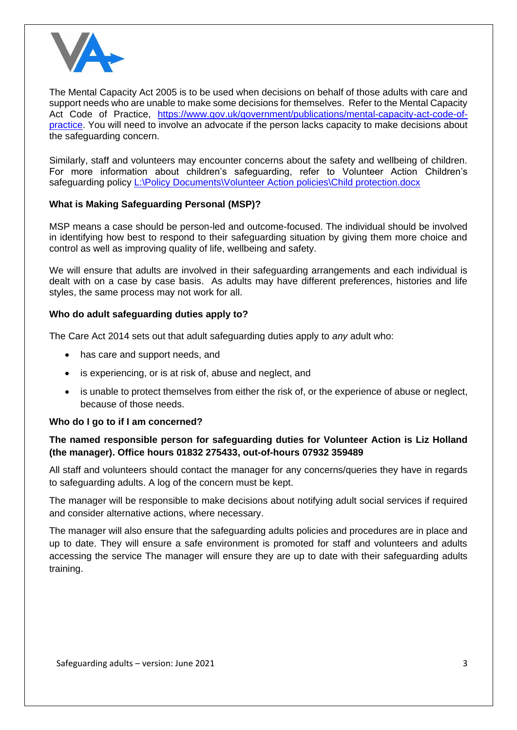

The Mental Capacity Act 2005 is to be used when decisions on behalf of those adults with care and support needs who are unable to make some decisions for themselves. Refer to the Mental Capacity Act Code of Practice, [https://www.gov.uk/government/publications/mental-capacity-act-code-of](https://www.gov.uk/government/publications/mental-capacity-act-code-of-practice)[practice.](https://www.gov.uk/government/publications/mental-capacity-act-code-of-practice) You will need to involve an advocate if the person lacks capacity to make decisions about the safeguarding concern.

Similarly, staff and volunteers may encounter concerns about the safety and wellbeing of children. For more information about children's safeguarding, refer to Volunteer Action Children's safeguarding policy [L:\Policy Documents\Volunteer Action policies\Child protection.docx](file://///va-serv/Library/Policy%20Documents/Volunteer%20Action%20policies/Child%20protection.docx)

# **What is Making Safeguarding Personal (MSP)?**

MSP means a case should be person-led and outcome-focused. The individual should be involved in identifying how best to respond to their safeguarding situation by giving them more choice and control as well as improving quality of life, wellbeing and safety.

We will ensure that adults are involved in their safeguarding arrangements and each individual is dealt with on a case by case basis. As adults may have different preferences, histories and life styles, the same process may not work for all.

## **Who do adult safeguarding duties apply to?**

The Care Act 2014 sets out that adult safeguarding duties apply to *any* adult who:

- has care and support needs, and
- is experiencing, or is at risk of, abuse and neglect, and
- is unable to protect themselves from either the risk of, or the experience of abuse or neglect, because of those needs.

## **Who do I go to if I am concerned?**

# **The named responsible person for safeguarding duties for Volunteer Action is Liz Holland (the manager). Office hours 01832 275433, out-of-hours 07932 359489**

All staff and volunteers should contact the manager for any concerns/queries they have in regards to safeguarding adults. A log of the concern must be kept.

The manager will be responsible to make decisions about notifying adult social services if required and consider alternative actions, where necessary.

The manager will also ensure that the safeguarding adults policies and procedures are in place and up to date. They will ensure a safe environment is promoted for staff and volunteers and adults accessing the service The manager will ensure they are up to date with their safeguarding adults training.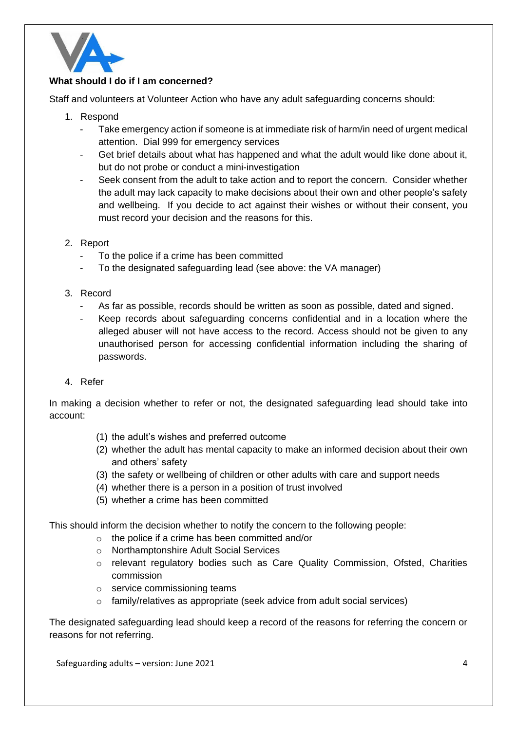

# **What should I do if I am concerned?**

Staff and volunteers at Volunteer Action who have any adult safeguarding concerns should:

- 1. Respond
	- Take emergency action if someone is at immediate risk of harm/in need of urgent medical attention. Dial 999 for emergency services
	- Get brief details about what has happened and what the adult would like done about it, but do not probe or conduct a mini-investigation
	- Seek consent from the adult to take action and to report the concern. Consider whether the adult may lack capacity to make decisions about their own and other people's safety and wellbeing. If you decide to act against their wishes or without their consent, you must record your decision and the reasons for this.
- 2. Report
	- To the police if a crime has been committed
	- To the designated safeguarding lead (see above: the VA manager)
- 3. Record
	- As far as possible, records should be written as soon as possible, dated and signed.
	- Keep records about safeguarding concerns confidential and in a location where the alleged abuser will not have access to the record. Access should not be given to any unauthorised person for accessing confidential information including the sharing of passwords.
- 4. Refer

In making a decision whether to refer or not, the designated safeguarding lead should take into account:

- (1) the adult's wishes and preferred outcome
- (2) whether the adult has mental capacity to make an informed decision about their own and others' safety
- (3) the safety or wellbeing of children or other adults with care and support needs
- (4) whether there is a person in a position of trust involved
- (5) whether a crime has been committed

This should inform the decision whether to notify the concern to the following people:

- o the police if a crime has been committed and/or
- o Northamptonshire Adult Social Services
- o relevant regulatory bodies such as Care Quality Commission, Ofsted, Charities commission
- o service commissioning teams
- o family/relatives as appropriate (seek advice from adult social services)

The designated safeguarding lead should keep a record of the reasons for referring the concern or reasons for not referring.

Safeguarding adults – version: June 2021 4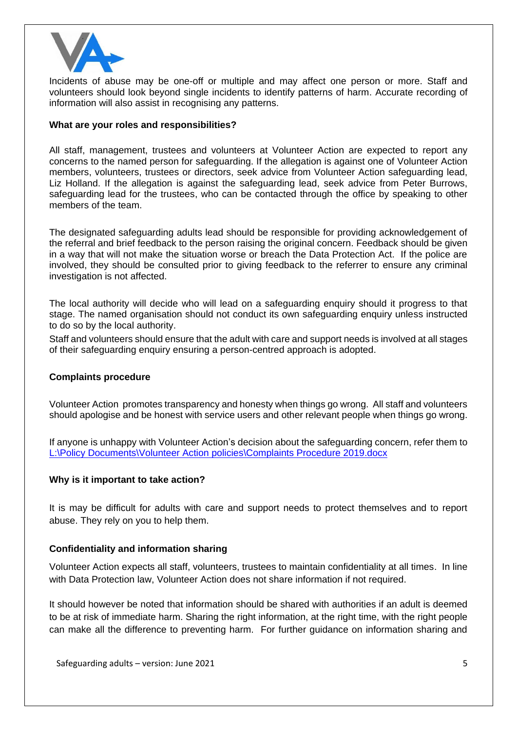

Incidents of abuse may be one-off or multiple and may affect one person or more. Staff and volunteers should look beyond single incidents to identify patterns of harm. Accurate recording of information will also assist in recognising any patterns.

## **What are your roles and responsibilities?**

All staff, management, trustees and volunteers at Volunteer Action are expected to report any concerns to the named person for safeguarding. If the allegation is against one of Volunteer Action members, volunteers, trustees or directors, seek advice from Volunteer Action safeguarding lead, Liz Holland. If the allegation is against the safeguarding lead, seek advice from Peter Burrows, safeguarding lead for the trustees, who can be contacted through the office by speaking to other members of the team.

The designated safeguarding adults lead should be responsible for providing acknowledgement of the referral and brief feedback to the person raising the original concern. Feedback should be given in a way that will not make the situation worse or breach the Data Protection Act. If the police are involved, they should be consulted prior to giving feedback to the referrer to ensure any criminal investigation is not affected.

The local authority will decide who will lead on a safeguarding enquiry should it progress to that stage. The named organisation should not conduct its own safeguarding enquiry unless instructed to do so by the local authority.

Staff and volunteers should ensure that the adult with care and support needs is involved at all stages of their safeguarding enquiry ensuring a person-centred approach is adopted.

## **Complaints procedure**

Volunteer Action promotes transparency and honesty when things go wrong. All staff and volunteers should apologise and be honest with service users and other relevant people when things go wrong.

If anyone is unhappy with Volunteer Action's decision about the safeguarding concern, refer them to [L:\Policy Documents\Volunteer Action policies\Complaints Procedure 2019.docx](file://///va-serv/Library/Policy%20Documents/Volunteer%20Action%20policies/Complaints%20Procedure%202019.docx)

## **Why is it important to take action?**

It is may be difficult for adults with care and support needs to protect themselves and to report abuse. They rely on you to help them.

## **Confidentiality and information sharing**

Volunteer Action expects all staff, volunteers, trustees to maintain confidentiality at all times. In line with Data Protection law, Volunteer Action does not share information if not required.

It should however be noted that information should be shared with authorities if an adult is deemed to be at risk of immediate harm. Sharing the right information, at the right time, with the right people can make all the difference to preventing harm. For further guidance on information sharing and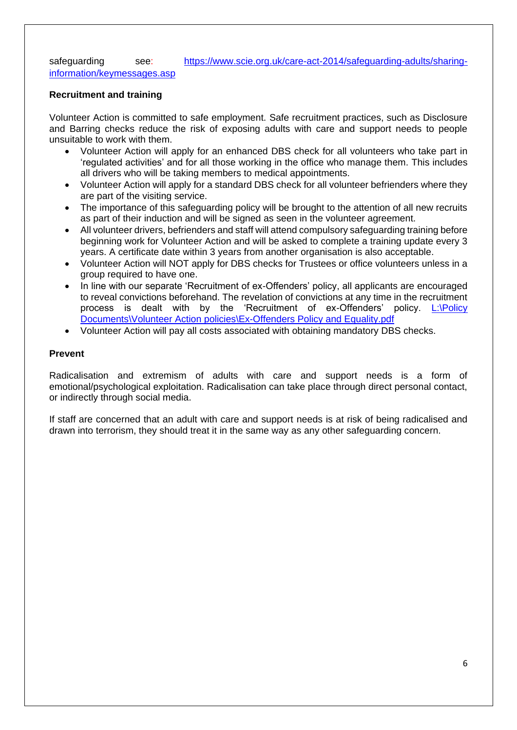safeguarding see: [https://www.scie.org.uk/care-act-2014/safeguarding-adults/sharing](https://www.scie.org.uk/care-act-2014/safeguarding-adults/sharing-information/keymessages.asp)[information/keymessages.asp](https://www.scie.org.uk/care-act-2014/safeguarding-adults/sharing-information/keymessages.asp)

#### **Recruitment and training**

Volunteer Action is committed to safe employment. Safe recruitment practices, such as Disclosure and Barring checks reduce the risk of exposing adults with care and support needs to people unsuitable to work with them.

- Volunteer Action will apply for an enhanced DBS check for all volunteers who take part in 'regulated activities' and for all those working in the office who manage them. This includes all drivers who will be taking members to medical appointments.
- Volunteer Action will apply for a standard DBS check for all volunteer befrienders where they are part of the visiting service.
- The importance of this safeguarding policy will be brought to the attention of all new recruits as part of their induction and will be signed as seen in the volunteer agreement.
- All volunteer drivers, befrienders and staff will attend compulsory safeguarding training before beginning work for Volunteer Action and will be asked to complete a training update every 3 years. A certificate date within 3 years from another organisation is also acceptable.
- Volunteer Action will NOT apply for DBS checks for Trustees or office volunteers unless in a group required to have one.
- In line with our separate 'Recruitment of ex-Offenders' policy, all applicants are encouraged to reveal convictions beforehand. The revelation of convictions at any time in the recruitment process is dealt with by the 'Recruitment of ex-Offenders' policy. [L:\Policy](file://///va-serv/Library/Policy%20Documents/Volunteer%20Action%20policies/Ex-Offenders%20Policy%20and%20Equality.pdf)  [Documents\Volunteer Action policies\Ex-Offenders Policy and Equality.pdf](file://///va-serv/Library/Policy%20Documents/Volunteer%20Action%20policies/Ex-Offenders%20Policy%20and%20Equality.pdf)
- Volunteer Action will pay all costs associated with obtaining mandatory DBS checks.

#### **Prevent**

Radicalisation and extremism of adults with care and support needs is a form of emotional/psychological exploitation. Radicalisation can take place through direct personal contact, or indirectly through social media.

If staff are concerned that an adult with care and support needs is at risk of being radicalised and drawn into terrorism, they should treat it in the same way as any other safeguarding concern.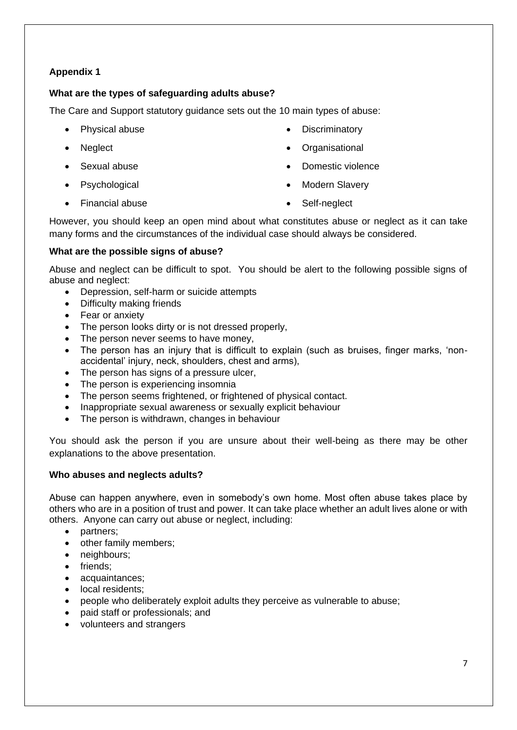# **Appendix 1**

# **What are the types of safeguarding adults abuse?**

The Care and Support statutory guidance sets out the 10 main types of abuse:

- Physical abuse
- **Neglect**
- Sexual abuse
- Psychological
- Financial abuse
- **Discriminatory**
- **Organisational**
- Domestic violence
- **Modern Slavery**
- Self-neglect

However, you should keep an open mind about what constitutes abuse or neglect as it can take many forms and the circumstances of the individual case should always be considered.

# **What are the possible signs of abuse?**

Abuse and neglect can be difficult to spot. You should be alert to the following possible signs of abuse and neglect:

- Depression, self-harm or suicide attempts
- Difficulty making friends
- Fear or anxiety
- The person looks dirty or is not dressed properly,
- The person never seems to have money,
- The person has an injury that is difficult to explain (such as bruises, finger marks, 'nonaccidental' injury, neck, shoulders, chest and arms),
- The person has signs of a pressure ulcer,
- The person is experiencing insomnia
- The person seems frightened, or frightened of physical contact.
- Inappropriate sexual awareness or sexually explicit behaviour
- The person is withdrawn, changes in behaviour

You should ask the person if you are unsure about their well-being as there may be other explanations to the above presentation.

## **Who abuses and neglects adults?**

Abuse can happen anywhere, even in somebody's own home. Most often abuse takes place by others who are in a position of trust and power. It can take place whether an adult lives alone or with others. Anyone can carry out abuse or neglect, including:

- partners:
- other family members;
- neighbours;
- friends;
- acquaintances:
- local residents:
- people who deliberately exploit adults they perceive as vulnerable to abuse;
- paid staff or professionals; and
- volunteers and strangers